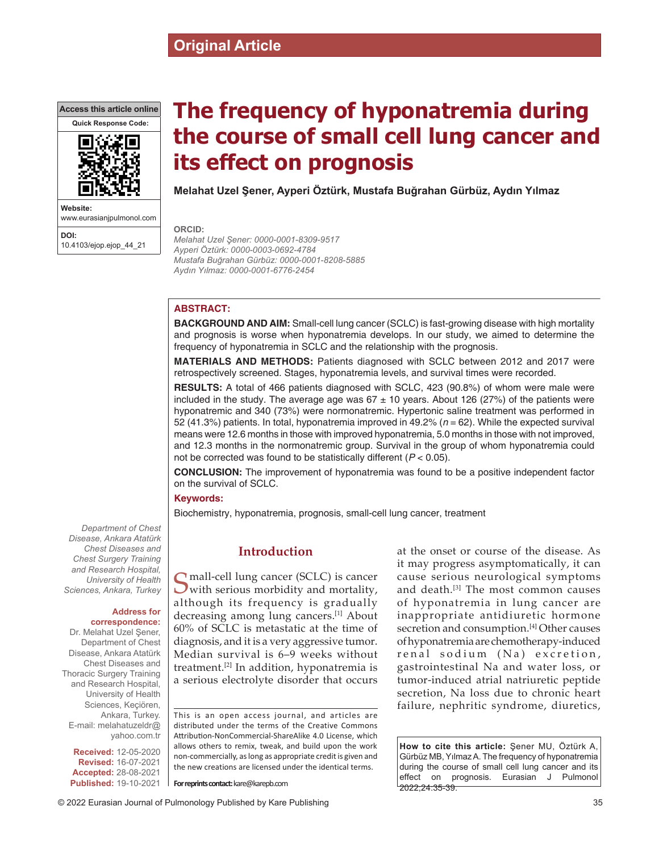# **Original Article**

**Access this article online**



**Website:** www.eurasianjpulmonol.com **DOI:**

10.4103/ejop.ejop\_44\_21

# **The frequency of hyponatremia during the course of small cell lung cancer and its effect on prognosis**

**Melahat Uzel Şener, Ayperi Öztürk, Mustafa Buğrahan Gürbüz, Aydın Yılmaz**

**ORCID:**

*Melahat Uzel Şener: 0000‑0001‑8309‑9517 Ayperi Öztürk: 0000‑0003‑0692‑4784 Mustafa Buğrahan Gürbüz: 0000‑0001‑8208‑5885 Aydın Yılmaz: 0000‑0001‑6776‑2454*

# **ABSTRACT:**

**BACKGROUND AND AIM:** Small-cell lung cancer (SCLC) is fast-growing disease with high mortality and prognosis is worse when hyponatremia develops. In our study, we aimed to determine the frequency of hyponatremia in SCLC and the relationship with the prognosis.

**MATERIALS AND METHODS:** Patients diagnosed with SCLC between 2012 and 2017 were retrospectively screened. Stages, hyponatremia levels, and survival times were recorded.

**RESULTS:** A total of 466 patients diagnosed with SCLC, 423 (90.8%) of whom were male were included in the study. The average age was  $67 \pm 10$  years. About 126 (27%) of the patients were hyponatremic and 340 (73%) were normonatremic. Hypertonic saline treatment was performed in 52 (41.3%) patients. In total, hyponatremia improved in 49.2% (*n* = 62). While the expected survival means were 12.6 months in those with improved hyponatremia, 5.0 months in those with not improved, and 12.3 months in the normonatremic group. Survival in the group of whom hyponatremia could not be corrected was found to be statistically different (*P* < 0.05).

**CONCLUSION:** The improvement of hyponatremia was found to be a positive independent factor on the survival of SCLC.

#### **Keywords:**

Biochemistry, hyponatremia, prognosis, small‑cell lung cancer, treatment

# **Introduction**

 $\bigcap$  mall-cell lung cancer (SCLC) is cancer with serious morbidity and mortality, although its frequency is gradually decreasing among lung cancers.[1] About 60% of SCLC is metastatic at the time of diagnosis, and it is a very aggressive tumor. Median survival is 6–9 weeks without treatment.[2] In addition, hyponatremia is a serious electrolyte disorder that occurs

This is an open access journal, and articles are distributed under the terms of the Creative Commons Attribution‑NonCommercial‑ShareAlike 4.0 License, which allows others to remix, tweak, and build upon the work non‑commercially, as long as appropriate credit is given and the new creations are licensed under the identical terms.

**For reprints contact:** kare@karepb.com

at the onset or course of the disease. As it may progress asymptomatically, it can cause serious neurological symptoms and death.[3] The most common causes of hyponatremia in lung cancer are inappropriate antidiuretic hormone secretion and consumption.<sup>[4]</sup> Other causes of hyponatremia are chemotherapy‑induced renal sodium (Na) excretion, gastrointestinal Na and water loss, or tumor‑induced atrial natriuretic peptide secretion, Na loss due to chronic heart failure, nephritic syndrome, diuretics,

**How to cite this article:** Şener MU, Öztürk A, Gürbüz MB, YılmazA. The frequency of hyponatremia during the course of small cell lung cancer and its effect on prognosis. Eurasian J Pulmonol 2022;24:35-39.

*Department of Chest Disease, Ankara Atatürk Chest Diseases and Chest Surgery Training and Research Hospital, University of Health Sciences, Ankara, Turkey*

#### **Address for correspondence:**

Dr. Melahat Uzel Şener, Department of Chest Disease, Ankara Atatürk Chest Diseases and Thoracic Surgery Training and Research Hospital, University of Health Sciences, Keçiören, Ankara, Turkey. E‑mail: melahatuzeldr@ yahoo.com.tr

**Received:** 12-05-2020 **Revised:** 16-07-2021 **Accepted:** 28-08-2021 **Published:** 19-10-2021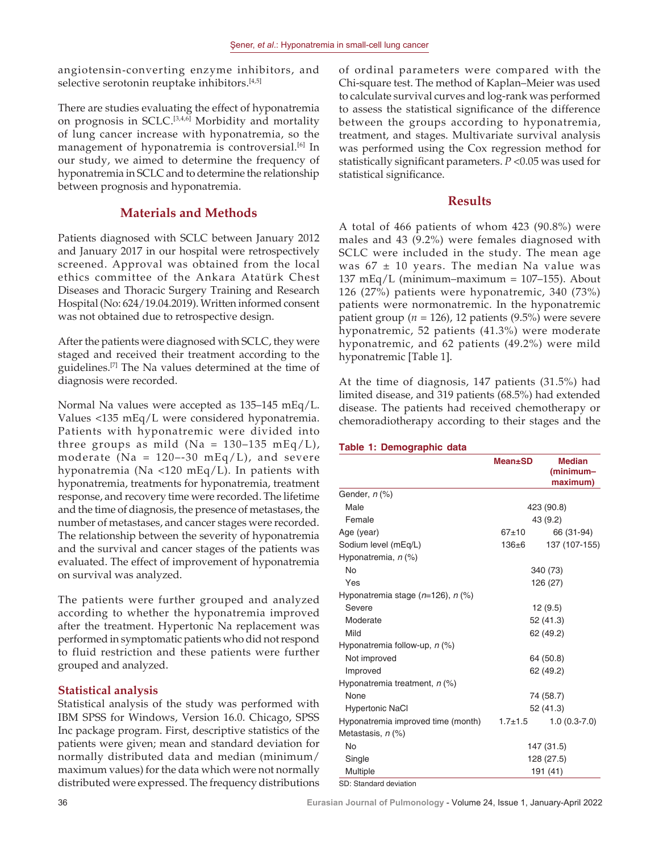angiotensin-converting enzyme inhibitors, and selective serotonin reuptake inhibitors.<sup>[4,5]</sup>

There are studies evaluating the effect of hyponatremia on prognosis in SCLC.[3,4,6] Morbidity and mortality of lung cancer increase with hyponatremia, so the management of hyponatremia is controversial.<sup>[6]</sup> In our study, we aimed to determine the frequency of hyponatremia in SCLC and to determine the relationship between prognosis and hyponatremia.

# **Materials and Methods**

Patients diagnosed with SCLC between January 2012 and January 2017 in our hospital were retrospectively screened. Approval was obtained from the local ethics committee of the Ankara Atatürk Chest Diseases and Thoracic Surgery Training and Research Hospital (No: 624/19.04.2019). Written informed consent was not obtained due to retrospective design.

After the patients were diagnosed with SCLC, they were staged and received their treatment according to the guidelines.[7] The Na values determined at the time of diagnosis were recorded.

Normal Na values were accepted as 135–145 mEq/L. Values <135 mEq/L were considered hyponatremia. Patients with hyponatremic were divided into three groups as mild (Na =  $130-135$  mEq/L), moderate (Na =  $120 - -30$  mEq/L), and severe hyponatremia (Na <120 mEq/L). In patients with hyponatremia, treatments for hyponatremia, treatment response, and recovery time were recorded. The lifetime and the time of diagnosis, the presence of metastases, the number of metastases, and cancer stages were recorded. The relationship between the severity of hyponatremia and the survival and cancer stages of the patients was evaluated. The effect of improvement of hyponatremia on survival was analyzed.

The patients were further grouped and analyzed according to whether the hyponatremia improved after the treatment. Hypertonic Na replacement was performed in symptomatic patients who did not respond to fluid restriction and these patients were further grouped and analyzed.

#### **Statistical analysis**

Statistical analysis of the study was performed with IBM SPSS for Windows, Version 16.0. Chicago, SPSS Inc package program. First, descriptive statistics of the patients were given; mean and standard deviation for normally distributed data and median (minimum/ maximum values) for the data which were not normally distributed were expressed. The frequency distributions of ordinal parameters were compared with the Chi‑square test. The method of Kaplan–Meier was used to calculate survival curves and log-rank was performed to assess the statistical significance of the difference between the groups according to hyponatremia, treatment, and stages. Multivariate survival analysis was performed using the Cox regression method for statistically significant parameters. *P* <0.05 was used for statistical significance.

# **Results**

A total of 466 patients of whom 423 (90.8%) were males and 43 (9.2%) were females diagnosed with SCLC were included in the study. The mean age was  $67 \pm 10$  years. The median Na value was 137 mEq/L (minimum–maximum =  $107-155$ ). About 126 (27%) patients were hyponatremic, 340 (73%) patients were normonatremic. In the hyponatremic patient group ( $n = 126$ ), 12 patients (9.5%) were severe hyponatremic, 52 patients (41.3%) were moderate hyponatremic, and 62 patients (49.2%) were mild hyponatremic [Table 1].

At the time of diagnosis, 147 patients (31.5%) had limited disease, and 319 patients (68.5%) had extended disease. The patients had received chemotherapy or chemoradiotherapy according to their stages and the

#### **Table 1: Demographic data**

|                                         | <b>Mean</b> ±SD | <b>Median</b><br>(minimum-<br>maximum) |
|-----------------------------------------|-----------------|----------------------------------------|
| Gender, n (%)                           |                 |                                        |
| Male                                    | 423 (90.8)      |                                        |
| Female                                  | 43 (9.2)        |                                        |
| Age (year)                              | $67+10$         | 66 (31-94)                             |
| Sodium level (mEq/L)                    | $136 \pm 6$     | 137 (107-155)                          |
| Hyponatremia, n (%)                     |                 |                                        |
| No                                      | 340 (73)        |                                        |
| Yes                                     | 126 (27)        |                                        |
| Hyponatremia stage $(n=126)$ , n $(\%)$ |                 |                                        |
| Severe                                  | 12(9.5)         |                                        |
| Moderate                                | 52 (41.3)       |                                        |
| Mild                                    | 62 (49.2)       |                                        |
| Hyponatremia follow-up, $n$ (%)         |                 |                                        |
| Not improved                            | 64 (50.8)       |                                        |
| Improved                                | 62 (49.2)       |                                        |
| Hyponatremia treatment, n (%)           |                 |                                        |
| None                                    | 74 (58.7)       |                                        |
| <b>Hypertonic NaCl</b>                  | 52 (41.3)       |                                        |
| Hyponatremia improved time (month)      | $1.7 + 1.5$     | $1.0(0.3-7.0)$                         |
| Metastasis, n (%)                       |                 |                                        |
| No                                      | 147 (31.5)      |                                        |
| Single                                  | 128 (27.5)      |                                        |
| Multiple                                | 191 (41)        |                                        |

SD: Standard deviation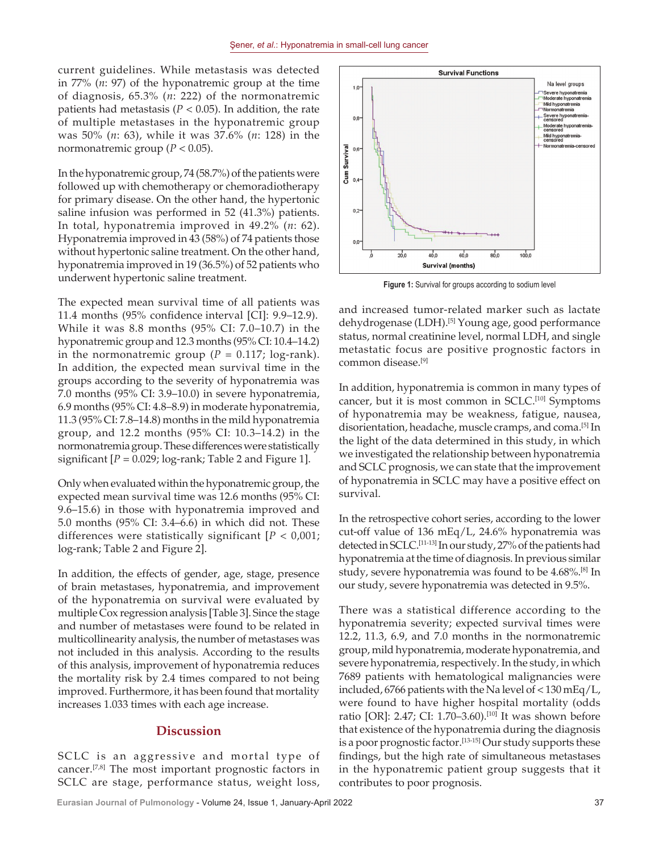current guidelines. While metastasis was detected in 77% (*n*: 97) of the hyponatremic group at the time of diagnosis, 65.3% (*n*: 222) of the normonatremic patients had metastasis ( $P < 0.05$ ). In addition, the rate of multiple metastases in the hyponatremic group was 50% (*n*: 63), while it was 37.6% (*n*: 128) in the normonatremic group ( $P < 0.05$ ).

In the hyponatremic group, 74 (58.7%) of the patients were followed up with chemotherapy or chemoradiotherapy for primary disease. On the other hand, the hypertonic saline infusion was performed in 52 (41.3%) patients. In total, hyponatremia improved in 49.2% (*n*: 62). Hyponatremia improved in 43 (58%) of 74 patients those without hypertonic saline treatment. On the other hand, hyponatremia improved in 19 (36.5%) of 52 patients who underwent hypertonic saline treatment.

The expected mean survival time of all patients was 11.4 months (95% confidence interval [CI]: 9.9–12.9). While it was 8.8 months (95% CI: 7.0–10.7) in the hyponatremic group and 12.3 months (95% CI: 10.4–14.2) in the normonatremic group ( $P = 0.117$ ; log-rank). In addition, the expected mean survival time in the groups according to the severity of hyponatremia was 7.0 months (95% CI: 3.9–10.0) in severe hyponatremia, 6.9 months (95% CI: 4.8–8.9) in moderate hyponatremia, 11.3 (95% CI: 7.8–14.8) months in the mild hyponatremia group, and 12.2 months (95% CI: 10.3–14.2) in the normonatremia group. These differences were statistically significant  $[P = 0.029; \log-rank; \text{Table 2}$  and Figure 1.

Only when evaluated within the hyponatremic group, the expected mean survival time was 12.6 months (95% CI: 9.6–15.6) in those with hyponatremia improved and 5.0 months (95% CI: 3.4–6.6) in which did not. These differences were statistically significant [*P* < 0,001; log-rank; Table 2 and Figure 2].

In addition, the effects of gender, age, stage, presence of brain metastases, hyponatremia, and improvement of the hyponatremia on survival were evaluated by multiple Cox regression analysis [Table 3]. Since the stage and number of metastases were found to be related in multicollinearity analysis, the number of metastases was not included in this analysis. According to the results of this analysis, improvement of hyponatremia reduces the mortality risk by 2.4 times compared to not being improved. Furthermore, it has been found that mortality increases 1.033 times with each age increase.

### **Discussion**

SCLC is an aggressive and mortal type of cancer.[7,8] The most important prognostic factors in SCLC are stage, performance status, weight loss,



**Figure 1:** Survival for groups according to sodium level

and increased tumor-related marker such as lactate dehydrogenase (LDH).[5] Young age, good performance status, normal creatinine level, normal LDH, and single metastatic focus are positive prognostic factors in common disease.[9]

In addition, hyponatremia is common in many types of cancer, but it is most common in SCLC.<sup>[10]</sup> Symptoms of hyponatremia may be weakness, fatigue, nausea, disorientation, headache, muscle cramps, and coma.[5] In the light of the data determined in this study, in which we investigated the relationship between hyponatremia and SCLC prognosis, we can state that the improvement of hyponatremia in SCLC may have a positive effect on survival.

In the retrospective cohort series, according to the lower cut‑off value of 136 mEq/L, 24.6% hyponatremia was detected in SCLC.<sup>[11-13]</sup> In our study, 27% of the patients had hyponatremia at the time of diagnosis. In previous similar study, severe hyponatremia was found to be 4.68%.[8] In our study, severe hyponatremia was detected in 9.5%.

There was a statistical difference according to the hyponatremia severity; expected survival times were 12.2, 11.3, 6.9, and 7.0 months in the normonatremic group, mild hyponatremia, moderate hyponatremia, and severe hyponatremia, respectively. In the study, in which 7689 patients with hematological malignancies were included, 6766 patients with the Na level of  $<$  130 mEq/L, were found to have higher hospital mortality (odds ratio [OR]: 2.47; CI: 1.70–3.60).[10] It was shown before that existence of the hyponatremia during the diagnosis is a poor prognostic factor.<sup>[13-15]</sup> Our study supports these findings, but the high rate of simultaneous metastases in the hyponatremic patient group suggests that it contributes to poor prognosis.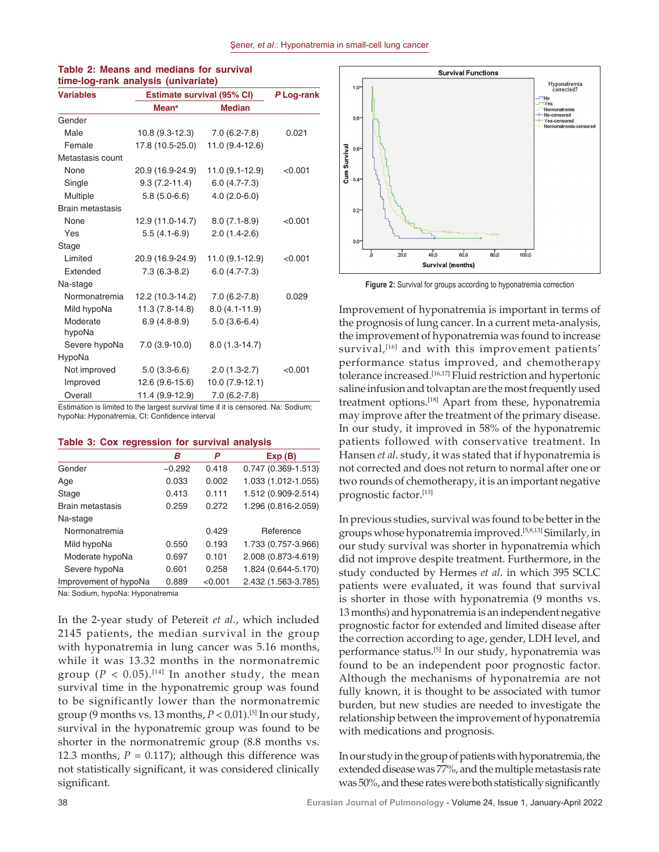| <b>Variables</b>        | <b>Estimate survival (95% CI)</b>        | P Log-rank        |         |
|-------------------------|------------------------------------------|-------------------|---------|
|                         | <b>Mean<sup>a</sup></b><br><b>Median</b> |                   |         |
| Gender                  |                                          |                   |         |
| Male                    | $10.8(9.3-12.3)$                         | $7.0(6.2-7.8)$    | 0.021   |
| Female                  | 17.8 (10.5-25.0)                         | 11.0 (9.4-12.6)   |         |
| Metastasis count        |                                          |                   |         |
| None                    | 20.9 (16.9-24.9)                         | 11.0 (9.1-12.9)   | < 0.001 |
| Single                  | $9.3(7.2 - 11.4)$                        | $6.0(4.7 - 7.3)$  |         |
| Multiple                | $5.8(5.0-6.6)$                           | $4.0(2.0-6.0)$    |         |
| <b>Brain metastasis</b> |                                          |                   |         |
| None                    | 12.9 (11.0-14.7)                         | $8.0(7.1-8.9)$    | < 0.001 |
| Yes                     | $5.5(4.1-6.9)$                           | $2.0(1.4-2.6)$    |         |
| Stage                   |                                          |                   |         |
| Limited                 | 20.9 (16.9-24.9)                         | 11.0 (9.1-12.9)   | < 0.001 |
| Extended                | $7.3(6.3-8.2)$                           | $6.0(4.7 - 7.3)$  |         |
| Na-stage                |                                          |                   |         |
| Normonatremia           | 12.2 (10.3-14.2)                         | $7.0(6.2-7.8)$    | 0.029   |
| Mild hypoNa             | 11.3 (7.8-14.8)                          | $8.0(4.1 - 11.9)$ |         |
| Moderate<br>hypoNa      | $6.9(4.8-8.9)$                           | $5.0(3.6-6.4)$    |         |
| Severe hypoNa           | $7.0(3.9-10.0)$                          | $8.0(1.3-14.7)$   |         |
| HypoNa                  |                                          |                   |         |
| Not improved            | $5.0(3.3-6.6)$                           | $2.0(1.3-2.7)$    | < 0.001 |
| Improved                | 12.6 (9.6-15.6)                          | $10.0(7.9-12.1)$  |         |
| Overall                 | 11.4 (9.9-12.9)                          | $7.0(6.2-7.8)$    |         |

# **Table 2: Means and medians for survival time‑log‑rank analysis (univariate)**

Estimation is limited to the largest survival time if it is censored. Na: Sodium; hypoNa: Hyponatremia, CI: Confidence interval

#### **Table 3: Cox regression for survival analysis**

|                       | в        | P       | Exp(B)                 |
|-----------------------|----------|---------|------------------------|
| Gender                | $-0.292$ | 0.418   | $0.747(0.369 - 1.513)$ |
| Age                   | 0.033    | 0.002   | 1.033 (1.012-1.055)    |
| Stage                 | 0.413    | 0.111   | 1.512 (0.909-2.514)    |
| Brain metastasis      | 0.259    | 0.272   | 1.296 (0.816-2.059)    |
| Na-stage              |          |         |                        |
| Normonatremia         |          | 0.429   | Reference              |
| Mild hypoNa           | 0.550    | 0.193   | 1.733 (0.757-3.966)    |
| Moderate hypoNa       | 0.697    | 0.101   | 2.008 (0.873-4.619)    |
| Severe hypoNa         | 0.601    | 0.258   | 1.824 (0.644-5.170)    |
| Improvement of hypoNa | 0.889    | < 0.001 | 2.432 (1.563-3.785)    |

Na: Sodium, hypoNa: Hyponatremia

In the 2‑year study of Petereit *et al*., which included 2145 patients, the median survival in the group with hyponatremia in lung cancer was 5.16 months, while it was 13.32 months in the normonatremic group ( $P < 0.05$ ).<sup>[14]</sup> In another study, the mean survival time in the hyponatremic group was found to be significantly lower than the normonatremic group (9 months vs. 13 months,  $P < 0.01$ ).<sup>[5]</sup> In our study, survival in the hyponatremic group was found to be shorter in the normonatremic group (8.8 months vs. 12.3 months,  $P = 0.117$ ); although this difference was not statistically significant, it was considered clinically significant.



**Figure 2:** Survival for groups according to hyponatremia correction

Improvement of hyponatremia is important in terms of the prognosis of lung cancer. In a current meta‑analysis, the improvement of hyponatremia was found to increase survival,<sup>[16]</sup> and with this improvement patients' performance status improved, and chemotherapy tolerance increased.<sup>[16,17]</sup> Fluid restriction and hypertonic saline infusion and tolvaptan are the most frequently used treatment options.[18] Apart from these, hyponatremia may improve after the treatment of the primary disease. In our study, it improved in 58% of the hyponatremic patients followed with conservative treatment. In Hansen *et al*. study, it was stated that if hyponatremia is not corrected and does not return to normal after one or two rounds of chemotherapy, it is an important negative prognostic factor.[13]

In previous studies, survival was found to be better in the groups whose hyponatremia improved.[5,8,13] Similarly, in our study survival was shorter in hyponatremia which did not improve despite treatment. Furthermore, in the study conducted by Hermes *et al*. in which 395 SCLC patients were evaluated, it was found that survival is shorter in those with hyponatremia (9 months vs. 13 months) and hyponatremia is an independent negative prognostic factor for extended and limited disease after the correction according to age, gender, LDH level, and performance status.[5] In our study, hyponatremia was found to be an independent poor prognostic factor. Although the mechanisms of hyponatremia are not fully known, it is thought to be associated with tumor burden, but new studies are needed to investigate the relationship between the improvement of hyponatremia with medications and prognosis.

In our study in the group of patients with hyponatremia, the extended disease was 77%, and the multiple metastasis rate was 50%, and these rates were both statistically significantly